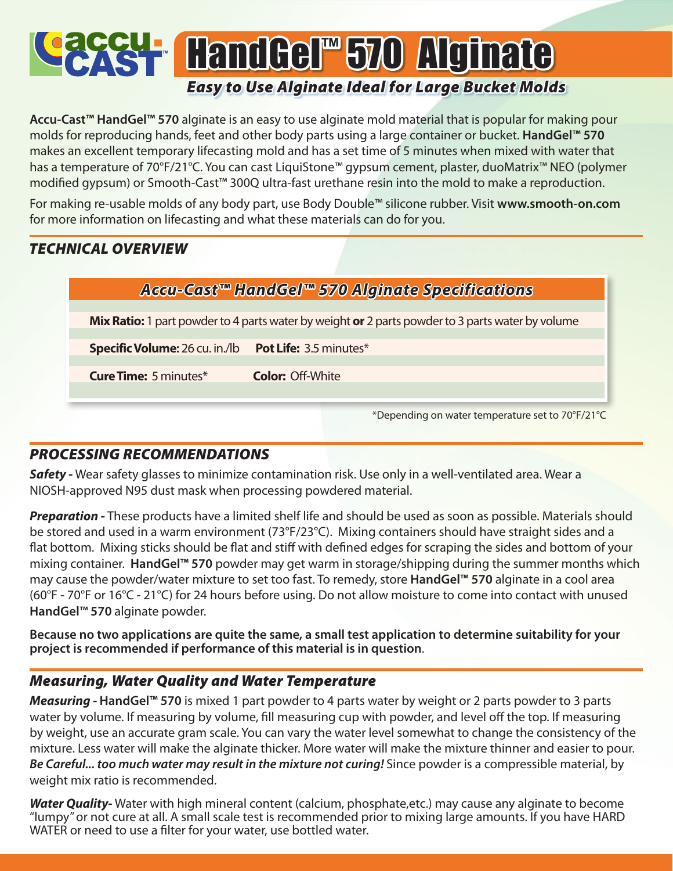# **SH HandGel™570 Alginate** *Easy to Use Alginate Ideal for Large Bucket Molds*

**Accu-Cast™ HandGel™ 570** alginate is an easy to use alginate mold material that is popular for making pour molds for reproducing hands, feet and other body parts using a large container or bucket. **HandGel™ 570** makes an excellent temporary lifecasting mold and has a set time of 5 minutes when mixed with water that has a temperature of 70°F/21°C. You can cast LiquiStone™ gypsum cement, plaster, duoMatrix™ NEO (polymer modified gypsum) or Smooth-Cast™ 300Q ultra-fast urethane resin into the mold to make a reproduction.

For making re-usable molds of any body part, use Body Double™ silicone rubber. Visit **www.smooth-on.com**  for more information on lifecasting and what these materials can do for you.

### *TECHNICAL OVERVIEW*

**Mix Ratio:** 1 part powder to 4 parts water by weight **or** 2 parts powder to 3 parts water by volume

**Specific Volume:** 26 cu. in./lb **Pot Life:** 3.5 minutes\*

**Cure Time:** 5 minutes\* **Color:** Off-White

\*Depending on water temperature set to 70°F/21°C

#### *PROCESSING RECOMMENDATIONS*

**Safety** - Wear safety glasses to minimize contamination risk. Use only in a well-ventilated area. Wear a NIOSH-approved N95 dust mask when processing powdered material.

*Preparation -* These products have a limited shelf life and should be used as soon as possible. Materials should be stored and used in a warm environment (73°F/23°C). Mixing containers should have straight sides and a flat bottom. Mixing sticks should be flat and stiff with defined edges for scraping the sides and bottom of your mixing container. **HandGel™ 570** powder may get warm in storage/shipping during the summer months which may cause the powder/water mixture to set too fast. To remedy, store **HandGel™ 570** alginate in a cool area (60°F - 70°F or 16°C - 21°C) for 24 hours before using. Do not allow moisture to come into contact with unused **HandGel™ 570** alginate powder.

**Because no two applications are quite the same, a small test application to determine suitability for your project is recommended if performance of this material is in question**.

#### *Measuring, Water Quality and Water Temperature*

*Measuring -* **HandGel™ 570** is mixed 1 part powder to 4 parts water by weight or 2 parts powder to 3 parts water by volume. If measuring by volume, fill measuring cup with powder, and level off the top. If measuring by weight, use an accurate gram scale. You can vary the water level somewhat to change the consistency of the mixture. Less water will make the alginate thicker. More water will make the mixture thinner and easier to pour. *Be Careful... too much water may result in the mixture not curing!* Since powder is a compressible material, by weight mix ratio is recommended.

*Water Quality-* Water with high mineral content (calcium, phosphate,etc.) may cause any alginate to become "lumpy" or not cure at all. A small scale test is recommended prior to mixing large amounts. If you have HARD WATER or need to use a filter for your water, use bottled water.